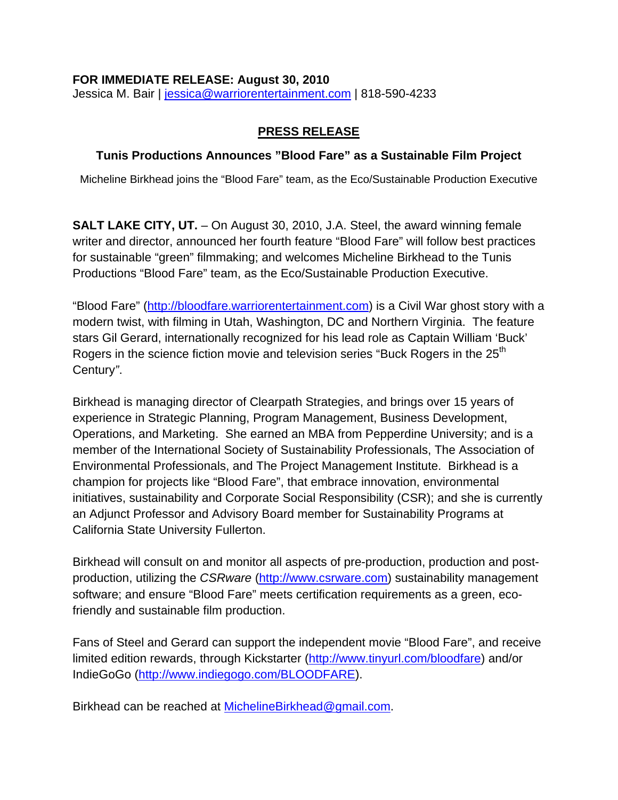#### **FOR IMMEDIATE RELEASE: August 30, 2010**

Jessica M. Bair | [jessica@warriorentertainment.com](mailto:jessica@warriorentertainment.com) | 818-590-4233

### **PRESS RELEASE**

### **Tunis Productions Announces "Blood Fare" as a Sustainable Film Project**

Micheline Birkhead joins the "Blood Fare" team, as the Eco/Sustainable Production Executive

**SALT LAKE CITY, UT.** – On August 30, 2010, J.A. Steel, the award winning female writer and director, announced her fourth feature "Blood Fare" will follow best practices for sustainable "green" filmmaking; and welcomes Micheline Birkhead to the Tunis Productions "Blood Fare" team, as the Eco/Sustainable Production Executive.

"Blood Fare" [\(http://bloodfare.warriorentertainment.com\)](http://bloodfare.warriorentertainment.com/) is a Civil War ghost story with a modern twist, with filming in Utah, Washington, DC and Northern Virginia. The feature stars Gil Gerard, internationally recognized for his lead role as Captain William 'Buck' Rogers in the science fiction movie and television series "Buck Rogers in the 25<sup>th</sup> Century*"*.

Birkhead is managing director of Clearpath Strategies, and brings over 15 years of experience in Strategic Planning, Program Management, Business Development, Operations, and Marketing. She earned an MBA from Pepperdine University; and is a member of the International Society of Sustainability Professionals, The Association of Environmental Professionals, and The Project Management Institute. Birkhead is a champion for projects like "Blood Fare", that embrace innovation, environmental initiatives, sustainability and Corporate Social Responsibility (CSR); and she is currently an Adjunct Professor and Advisory Board member for Sustainability Programs at California State University Fullerton.

Birkhead will consult on and monitor all aspects of pre-production, production and postproduction, utilizing the *CSRware* ([http://www.csrware.com](http://www.csrware.com/)) sustainability management software; and ensure "Blood Fare" meets certification requirements as a green, ecofriendly and sustainable film production.

Fans of Steel and Gerard can support the independent movie "Blood Fare", and receive limited edition rewards, through Kickstarter [\(http://www.tinyurl.com/bloodfare\)](http://www.tinyurl.com/bloodfare) and/or IndieGoGo [\(http://www.indiegogo.com/BLOODFARE](http://www.indiegogo.com/BLOODFARE)).

Birkhead can be reached at [MichelineBirkhead@gmail.com](mailto:MichelineBirkhead@gmail.com).